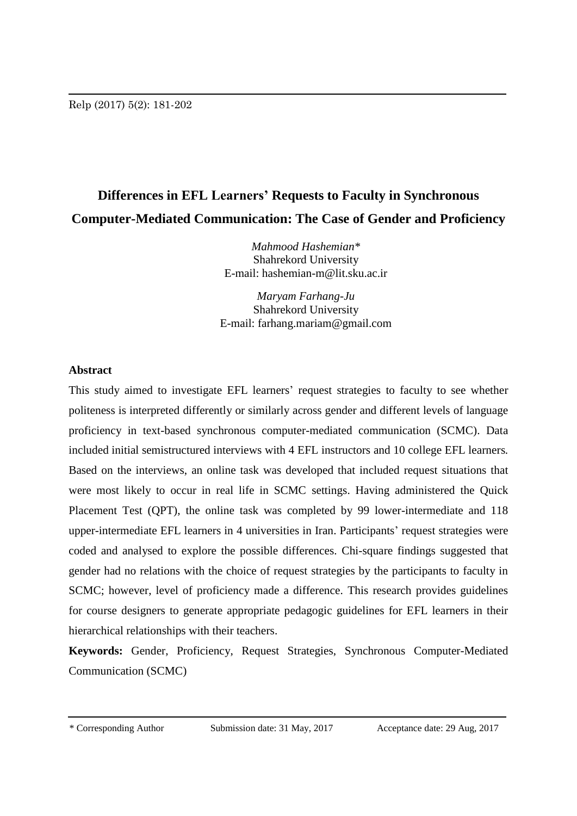# **Differences in EFL Learners' Requests to Faculty in Synchronous Computer-Mediated Communication: The Case of Gender and Proficiency**

*Mahmood Hashemian\** Shahrekord University E-mail: hashemian-m@lit.sku.ac.ir

*Maryam Farhang-Ju*  Shahrekord University E-mail: farhang.mariam@gmail.com

# **Abstract**

This study aimed to investigate EFL learners' request strategies to faculty to see whether politeness is interpreted differently or similarly across gender and different levels of language proficiency in text-based synchronous computer-mediated communication (SCMC). Data included initial semistructured interviews with 4 EFL instructors and 10 college EFL learners*.* Based on the interviews, an online task was developed that included request situations that were most likely to occur in real life in SCMC settings. Having administered the Quick Placement Test (QPT), the online task was completed by 99 lower-intermediate and 118 upper-intermediate EFL learners in 4 universities in Iran. Participants' request strategies were coded and analysed to explore the possible differences. Chi-square findings suggested that gender had no relations with the choice of request strategies by the participants to faculty in SCMC; however, level of proficiency made a difference. This research provides guidelines for course designers to generate appropriate pedagogic guidelines for EFL learners in their hierarchical relationships with their teachers.

**Keywords:** Gender, Proficiency, Request Strategies, Synchronous Computer-Mediated Communication (SCMC)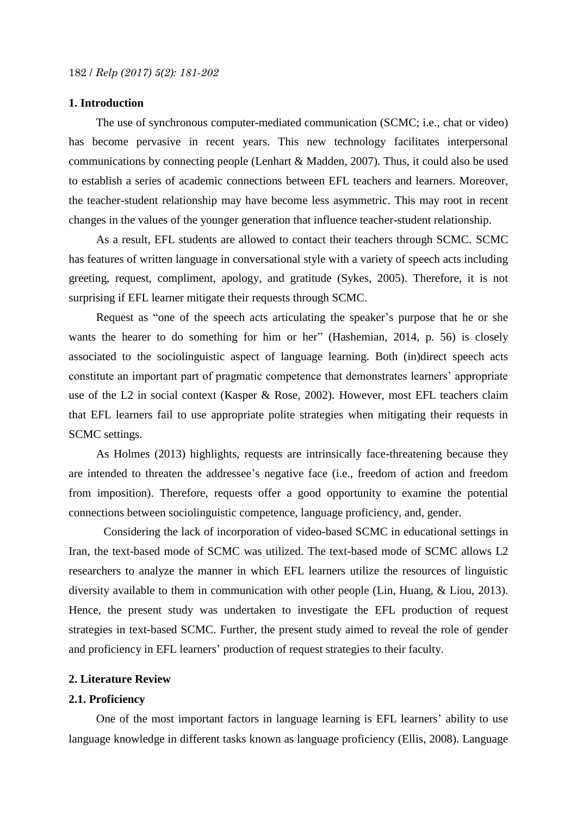# **1. Introduction**

The use of synchronous computer-mediated communication (SCMC; i.e., chat or video) has become pervasive in recent years. This new technology facilitates interpersonal communications by connecting people (Lenhart & Madden, 2007). Thus, it could also be used to establish a series of academic connections between EFL teachers and learners. Moreover, the teacher-student relationship may have become less asymmetric. This may root in recent changes in the values of the younger generation that influence teacher-student relationship.

As a result, EFL students are allowed to contact their teachers through SCMC. SCMC has features of written language in conversational style with a variety of speech acts including greeting, request, compliment, apology, and gratitude (Sykes, 2005). Therefore, it is not surprising if EFL learner mitigate their requests through SCMC.

Request as "one of the speech acts articulating the speaker's purpose that he or she wants the hearer to do something for him or her" (Hashemian, 2014, p. 56) is closely associated to the sociolinguistic aspect of language learning. Both (in)direct speech acts constitute an important part of pragmatic competence that demonstrates learners' appropriate use of the L2 in social context (Kasper & Rose, 2002). However, most EFL teachers claim that EFL learners fail to use appropriate polite strategies when mitigating their requests in SCMC settings.

As Holmes (2013) highlights, requests are intrinsically face-threatening because they are intended to threaten the addressee's negative face (i.e., freedom of action and freedom from imposition). Therefore, requests offer a good opportunity to examine the potential connections between sociolinguistic competence, language proficiency, and, gender.

Considering the lack of incorporation of video-based SCMC in educational settings in Iran, the text-based mode of SCMC was utilized. The text-based mode of SCMC allows L2 researchers to analyze the manner in which EFL learners utilize the resources of linguistic diversity available to them in communication with other people (Lin, Huang, & Liou, 2013). Hence, the present study was undertaken to investigate the EFL production of request strategies in text-based SCMC. Further, the present study aimed to reveal the role of gender and proficiency in EFL learners' production of request strategies to their faculty.

## **2. Literature Review**

#### **2.1. Proficiency**

One of the most important factors in language learning is EFL learners' ability to use language knowledge in different tasks known as language proficiency (Ellis, 2008). Language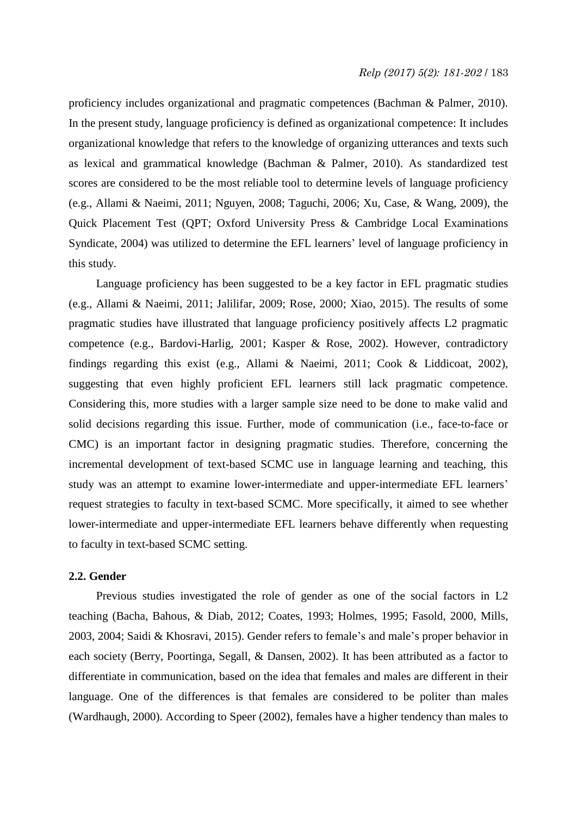# *Relp (2017) 5(2): 181-202* / 183

proficiency includes organizational and pragmatic competences (Bachman & Palmer, 2010). In the present study, language proficiency is defined as organizational competence: It includes organizational knowledge that refers to the knowledge of organizing utterances and texts such as lexical and grammatical knowledge (Bachman & Palmer, 2010). As standardized test scores are considered to be the most reliable tool to determine levels of language proficiency (e.g., Allami & Naeimi, 2011; Nguyen, 2008; Taguchi, 2006; Xu, Case, & Wang, 2009), the Quick Placement Test (QPT; [Oxford University Press](https://www.google.com/search?tbo=p&tbm=bks&q=inauthor:%22Oxford+University+Press%22&source=gbs_metadata_r&cad=2) & Cambridge Local Examinations Syndicate, 2004) was utilized to determine the EFL learners' level of language proficiency in this study.

Language proficiency has been suggested to be a key factor in EFL pragmatic studies (e.g., Allami & Naeimi, 2011; Jalilifar, 2009; Rose, 2000; Xiao, 2015). The results of some pragmatic studies have illustrated that language proficiency positively affects L2 pragmatic competence (e.g., Bardovi-Harlig, 2001; Kasper & Rose, 2002). However, contradictory findings regarding this exist (e.g., Allami & Naeimi, 2011; Cook & Liddicoat, 2002), suggesting that even highly proficient EFL learners still lack pragmatic competence. Considering this, more studies with a larger sample size need to be done to make valid and solid decisions regarding this issue. Further, mode of communication (i.e., face-to-face or CMC) is an important factor in designing pragmatic studies. Therefore, concerning the incremental development of text-based SCMC use in language learning and teaching, this study was an attempt to examine lower-intermediate and upper-intermediate EFL learners' request strategies to faculty in text-based SCMC. More specifically, it aimed to see whether lower-intermediate and upper-intermediate EFL learners behave differently when requesting to faculty in text-based SCMC setting.

#### **2.2. Gender**

Previous studies investigated the role of gender as one of the social factors in L2 teaching (Bacha, Bahous, & Diab, 2012; Coates, 1993; Holmes, 1995; Fasold, 2000, Mills, 2003, 2004; Saidi & Khosravi, 2015). Gender refers to female's and male's proper behavior in each society (Berry, Poortinga, Segall, & Dansen, 2002). It has been attributed as a factor to differentiate in communication, based on the idea that females and males are different in their language. One of the differences is that females are considered to be politer than males (Wardhaugh, 2000). According to Speer (2002), females have a higher tendency than males to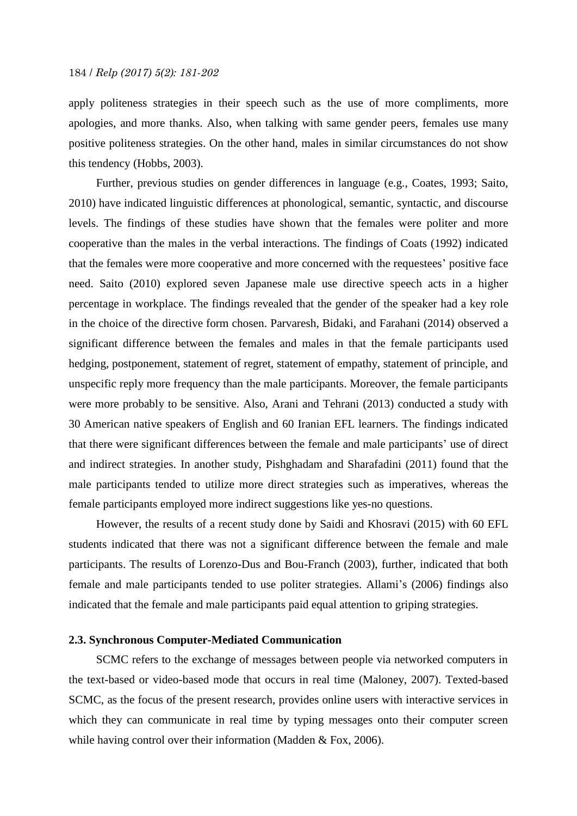apply politeness strategies in their speech such as the use of more compliments, more apologies, and more thanks. Also, when talking with same gender peers, females use many positive politeness strategies. On the other hand, males in similar circumstances do not show this tendency (Hobbs, 2003).

Further, previous studies on gender differences in language (e.g., Coates, 1993; Saito, 2010) have indicated linguistic differences at phonological, semantic, syntactic, and discourse levels. The findings of these studies have shown that the females were politer and more cooperative than the males in the verbal interactions. The findings of Coats (1992) indicated that the females were more cooperative and more concerned with the requestees' positive face need. Saito (2010) explored seven Japanese male use directive speech acts in a higher percentage in workplace. The findings revealed that the gender of the speaker had a key role in the choice of the directive form chosen. Parvaresh, Bidaki, and Farahani (2014) observed a significant difference between the females and males in that the female participants used hedging, postponement, statement of regret, statement of empathy, statement of principle, and unspecific reply more frequency than the male participants. Moreover, the female participants were more probably to be sensitive. Also, Arani and Tehrani (2013) conducted a study with 30 American native speakers of English and 60 Iranian EFL learners. The findings indicated that there were significant differences between the female and male participants' use of direct and indirect strategies. In another study*,* Pishghadam and Sharafadini (2011) found that the male participants tended to utilize more direct strategies such as imperatives, whereas the female participants employed more indirect suggestions like yes-no questions.

However, the results of a recent study done by Saidi and Khosravi (2015) with 60 EFL students indicated that there was not a significant difference between the female and male participants. The results of Lorenzo-Dus and Bou-Franch (2003), further, indicated that both female and male participants tended to use politer strategies. Allami's (2006) findings also indicated that the female and male participants paid equal attention to griping strategies.

#### **2.3. Synchronous Computer-Mediated Communication**

SCMC refers to the exchange of messages between people via networked computers in the text-based or video-based mode that occurs in real time (Maloney, 2007). Texted-based SCMC, as the focus of the present research, provides online users with interactive services in which they can communicate in real time by typing messages onto their computer screen while having control over their information (Madden & Fox, 2006).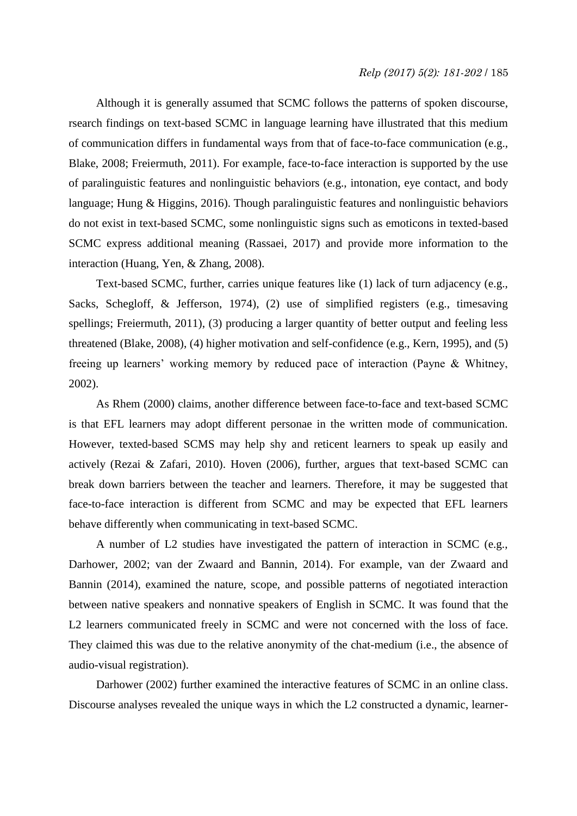Although it is generally assumed that SCMC follows the patterns of spoken discourse, rsearch findings on text-based SCMC in language learning have illustrated that this medium of communication differs in fundamental ways from that of face-to-face communication (e.g., Blake, 2008; Freiermuth, 2011). For example, face-to-face interaction is supported by the use of paralinguistic features and nonlinguistic behaviors (e.g., intonation, eye contact, and body language; Hung & Higgins, 2016). Though paralinguistic features and nonlinguistic behaviors do not exist in text-based SCMC, some nonlinguistic signs such as emoticons in texted-based SCMC express additional meaning (Rassaei, 2017) and provide more information to the interaction (Huang, Yen, & Zhang, 2008).

Text-based SCMC, further, carries unique features like (1) lack of turn adjacency (e.g., Sacks, Schegloff, & Jefferson, 1974), (2) use of simplified registers (e.g., timesaving spellings; Freiermuth, 2011), (3) producing a larger quantity of better output and feeling less threatened (Blake, 2008), (4) higher motivation and self-confidence (e.g., Kern, 1995), and (5) freeing up learners' working memory by reduced pace of interaction (Payne & Whitney, 2002).

As Rhem (2000) claims, another difference between face-to-face and text-based SCMC is that EFL learners may adopt different personae in the written mode of communication. However, texted-based SCMS may help shy and reticent learners to speak up easily and actively (Rezai & Zafari, 2010). Hoven (2006), further, argues that text-based SCMC can break down barriers between the teacher and learners. Therefore, it may be suggested that face-to-face interaction is different from SCMC and may be expected that EFL learners behave differently when communicating in text-based SCMC.

A number of L2 studies have investigated the pattern of interaction in SCMC (e.g., Darhower, 2002; van der Zwaard and Bannin, 2014). For example, van der Zwaard and Bannin (2014), examined the nature, scope, and possible patterns of negotiated interaction between native speakers and nonnative speakers of English in SCMC. It was found that the L2 learners communicated freely in SCMC and were not concerned with the loss of face. They claimed this was due to the relative anonymity of the chat-medium (i.e., the absence of audio-visual registration).

Darhower (2002) further examined the interactive features of SCMC in an online class. Discourse analyses revealed the unique ways in which the L2 constructed a dynamic, learner-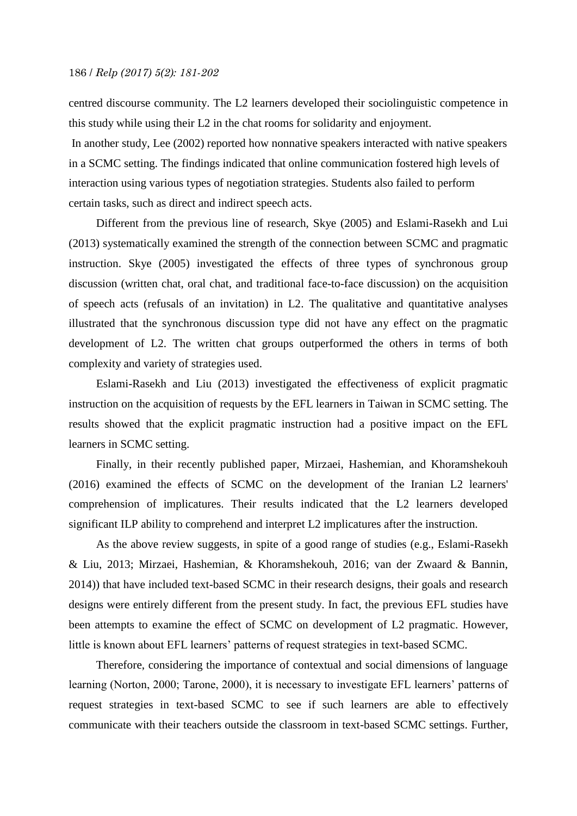centred discourse community. The L2 learners developed their sociolinguistic competence in this study while using their L2 in the chat rooms for solidarity and enjoyment.

In another study, Lee (2002) reported how nonnative speakers interacted with native speakers in a SCMC setting. The findings indicated that online communication fostered high levels of interaction using various types of negotiation strategies. Students also failed to perform certain tasks, such as direct and indirect speech acts.

Different from the previous line of research, Skye (2005) and Eslami-Rasekh and Lui (2013) systematically examined the strength of the connection between SCMC and pragmatic instruction. Skye (2005) investigated the effects of three types of synchronous group discussion (written chat, oral chat, and traditional face-to-face discussion) on the acquisition of speech acts (refusals of an invitation) in L2. The qualitative and quantitative analyses illustrated that the synchronous discussion type did not have any effect on the pragmatic development of L2. The written chat groups outperformed the others in terms of both complexity and variety of strategies used.

Eslami-Rasekh and Liu (2013) investigated the effectiveness of explicit pragmatic instruction on the acquisition of requests by the EFL learners in Taiwan in SCMC setting. The results showed that the explicit pragmatic instruction had a positive impact on the EFL learners in SCMC setting.

Finally, in their recently published paper, Mirzaei, Hashemian, and Khoramshekouh (2016) examined the effects of SCMC on the development of the Iranian L2 learners' comprehension of implicatures. Their results indicated that the L2 learners developed significant ILP ability to comprehend and interpret L2 implicatures after the instruction.

As the above review suggests, in spite of a good range of studies (e.g., Eslami-Rasekh & Liu, 2013; Mirzaei, Hashemian, & Khoramshekouh, 2016; van der Zwaard & Bannin, 2014)) that have included text-based SCMC in their research designs, their goals and research designs were entirely different from the present study. In fact, the previous EFL studies have been attempts to examine the effect of SCMC on development of L2 pragmatic. However, little is known about EFL learners' patterns of request strategies in text-based SCMC.

Therefore, considering the importance of contextual and social dimensions of language learning (Norton, 2000; Tarone, 2000), it is necessary to investigate EFL learners' patterns of request strategies in text-based SCMC to see if such learners are able to effectively communicate with their teachers outside the classroom in text-based SCMC settings. Further,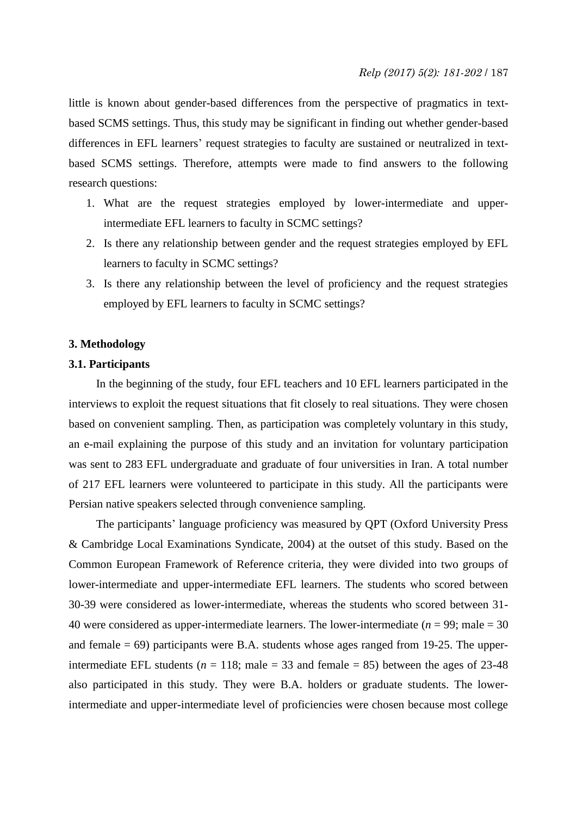little is known about gender-based differences from the perspective of pragmatics in textbased SCMS settings. Thus, this study may be significant in finding out whether gender-based differences in EFL learners' request strategies to faculty are sustained or neutralized in textbased SCMS settings. Therefore, attempts were made to find answers to the following research questions:

- 1. What are the request strategies employed by lower-intermediate and upperintermediate EFL learners to faculty in SCMC settings?
- 2. Is there any relationship between gender and the request strategies employed by EFL learners to faculty in SCMC settings?
- 3. Is there any relationship between the level of proficiency and the request strategies employed by EFL learners to faculty in SCMC settings?

# **3. Methodology**

#### **3.1. Participants**

In the beginning of the study, four EFL teachers and 10 EFL learners participated in the interviews to exploit the request situations that fit closely to real situations. They were chosen based on convenient sampling. Then, as participation was completely voluntary in this study, an e-mail explaining the purpose of this study and an invitation for voluntary participation was sent to 283 EFL undergraduate and graduate of four universities in Iran. A total number of 217 EFL learners were volunteered to participate in this study. All the participants were Persian native speakers selected through convenience sampling.

The participants' language proficiency was measured by QPT [\(Oxford University Press](https://www.google.com/search?tbo=p&tbm=bks&q=inauthor:%22Oxford+University+Press%22&source=gbs_metadata_r&cad=2) & Cambridge Local Examinations Syndicate, 2004) at the outset of this study. Based on the [Common European Framework of Reference criteria, t](http://www.coe.int/t/dg4/linguistic/Cadre1_en.asp)hey were divided into two groups of lower-intermediate and upper-intermediate EFL learners. The students who scored between 30-39 were considered as lower-intermediate, whereas the students who scored between 31- 40 were considered as upper-intermediate learners. The lower-intermediate (*n* = 99; male = 30 and female  $= 69$ ) participants were B.A. students whose ages ranged from 19-25. The upperintermediate EFL students ( $n = 118$ ; male = 33 and female = 85) between the ages of 23-48 also participated in this study. They were B.A. holders or graduate students. The lowerintermediate and upper-intermediate level of proficiencies were chosen because most college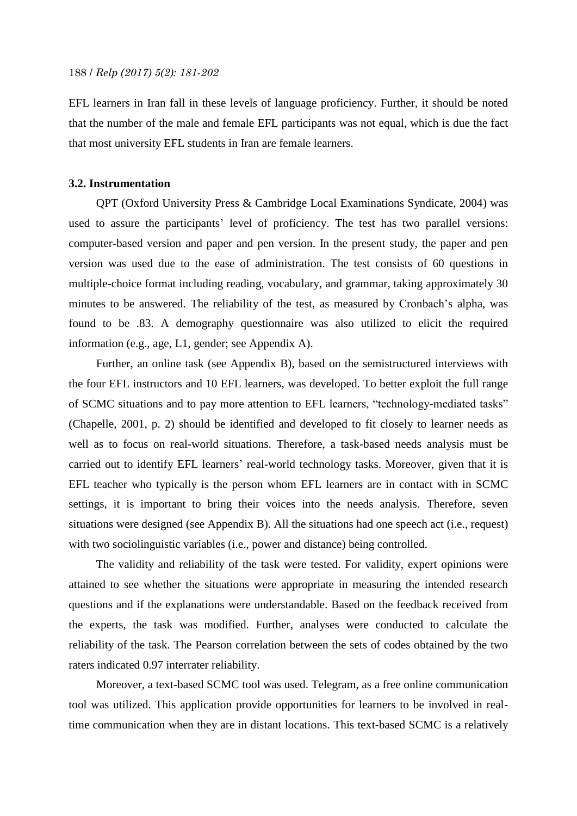EFL learners in Iran fall in these levels of language proficiency. Further, it should be noted that the number of the male and female EFL participants was not equal, which is due the fact that most university EFL students in Iran are female learners.

#### **3.2. Instrumentation**

QPT [\(Oxford University Press](https://www.google.com/search?tbo=p&tbm=bks&q=inauthor:%22Oxford+University+Press%22&source=gbs_metadata_r&cad=2) & Cambridge Local Examinations Syndicate, 2004) was used to assure the participants' level of proficiency. The test has two parallel versions: computer-based version and paper and pen version. In the present study, the paper and pen version was used due to the ease of administration. The test consists of 60 questions in multiple-choice format including reading, vocabulary, and grammar, taking approximately 30 minutes to be answered. The reliability of the test, as measured by Cronbach's alpha, was found to be .83. A demography questionnaire was also utilized to elicit the required information (e.g., age, L1, gender; see Appendix A).

Further, an online task (see Appendix B), based on the semistructured interviews with the four EFL instructors and 10 EFL learners, was developed. To better exploit the full range of SCMC situations and to pay more attention to EFL learners, "technology-mediated tasks" (Chapelle, 2001, p. 2) should be identified and developed to fit closely to learner needs as well as to focus on real-world situations. Therefore, a task-based needs analysis must be carried out to identify EFL learners' real-world technology tasks. Moreover, given that it is EFL teacher who typically is the person whom EFL learners are in contact with in SCMC settings, it is important to bring their voices into the needs analysis. Therefore, seven situations were designed (see Appendix B). All the situations had one speech act (i.e., request) with two sociolinguistic variables (i.e., power and distance) being controlled.

The validity and reliability of the task were tested. For validity, expert opinions were attained to see whether the situations were appropriate in measuring the intended research questions and if the explanations were understandable. Based on the feedback received from the experts, the task was modified. Further, analyses were conducted to calculate the reliability of the task. The Pearson correlation between the sets of codes obtained by the two raters indicated 0.97 interrater reliability.

Moreover, a text-based SCMC tool was used. Telegram, as a free online communication tool was utilized. This application provide opportunities for learners to be involved in realtime communication when they are in distant locations. This text-based SCMC is a relatively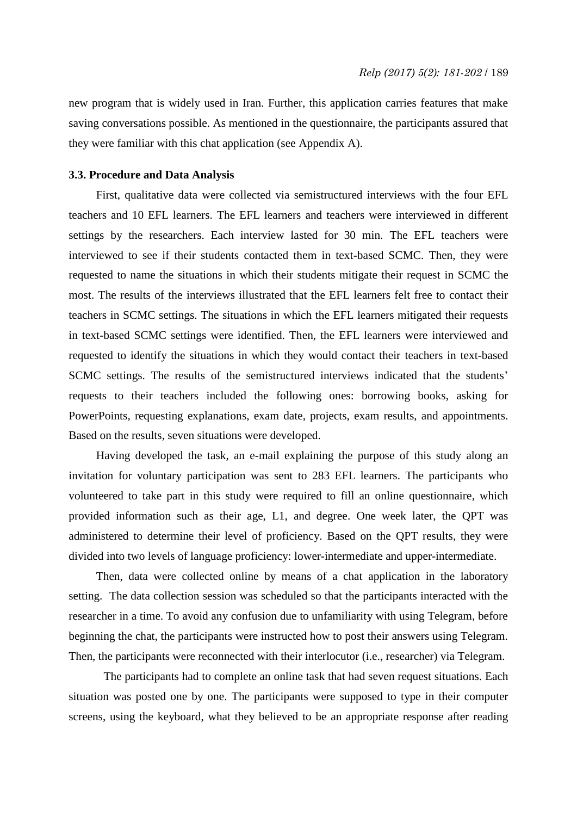new program that is widely used in Iran. Further, this application carries features that make saving conversations possible. As mentioned in the questionnaire, the participants assured that they were familiar with this chat application (see Appendix A).

#### **3.3. Procedure and Data Analysis**

First, qualitative data were collected via semistructured interviews with the four EFL teachers and 10 EFL learners. The EFL learners and teachers were interviewed in different settings by the researchers. Each interview lasted for 30 min. The EFL teachers were interviewed to see if their students contacted them in text-based SCMC. Then, they were requested to name the situations in which their students mitigate their request in SCMC the most. The results of the interviews illustrated that the EFL learners felt free to contact their teachers in SCMC settings. The situations in which the EFL learners mitigated their requests in text-based SCMC settings were identified. Then, the EFL learners were interviewed and requested to identify the situations in which they would contact their teachers in text-based SCMC settings. The results of the semistructured interviews indicated that the students' requests to their teachers included the following ones: borrowing books, asking for PowerPoints, requesting explanations, exam date, projects, exam results, and appointments. Based on the results, seven situations were developed.

Having developed the task, an e-mail explaining the purpose of this study along an invitation for voluntary participation was sent to 283 EFL learners. The participants who volunteered to take part in this study were required to fill an online questionnaire, which provided information such as their age, L1, and degree. One week later, the QPT was administered to determine their level of proficiency. Based on the QPT results, they were divided into two levels of language proficiency: lower-intermediate and upper-intermediate.

Then, data were collected online by means of a chat application in the laboratory setting. The data collection session was scheduled so that the participants interacted with the researcher in a time. To avoid any confusion due to unfamiliarity with using Telegram, before beginning the chat, the participants were instructed how to post their answers using Telegram. Then, the participants were reconnected with their interlocutor (i.e., researcher) via Telegram.

The participants had to complete an online task that had seven request situations. Each situation was posted one by one. The participants were supposed to type in their computer screens, using the keyboard, what they believed to be an appropriate response after reading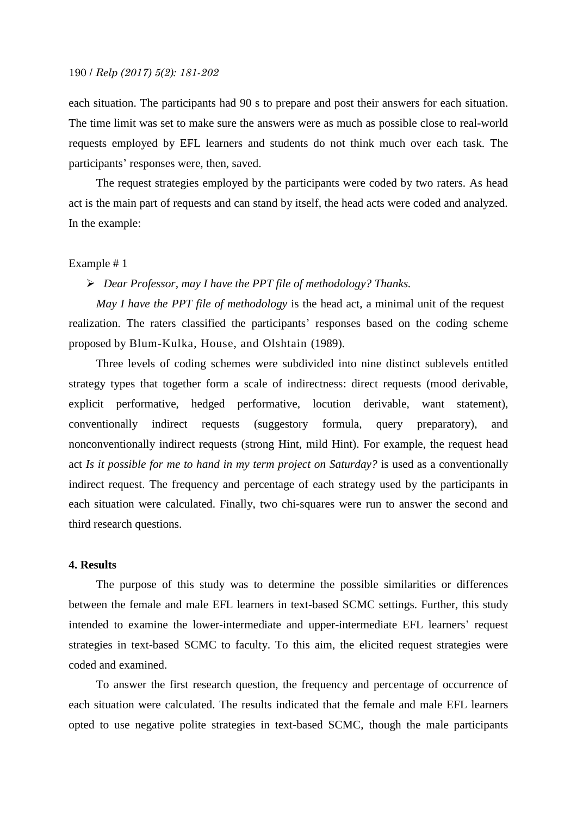each situation. The participants had 90 s to prepare and post their answers for each situation. The time limit was set to make sure the answers were as much as possible close to real-world requests employed by EFL learners and students do not think much over each task. The participants' responses were, then, saved.

The request strategies employed by the participants were coded by two raters. As head act is the main part of requests and can stand by itself, the head acts were coded and analyzed. In the example:

#### Example # 1

#### *Dear Professor, may I have the PPT file of methodology? Thanks.*

*May I have the PPT file of methodology* is the head act, a minimal unit of the request realization. The raters classified the participants' responses based on the coding scheme proposed by Blum-Kulka, House, and Olshtain (1989).

Three levels of coding schemes were subdivided into nine distinct sublevels entitled strategy types that together form a scale of indirectness: direct requests (mood derivable, explicit performative, hedged performative, locution derivable, want statement), conventionally indirect requests (suggestory formula, query preparatory), and nonconventionally indirect requests (strong Hint, mild Hint). For example, the request head act *Is it possible for me to hand in my term project on Saturday?* is used as a conventionally indirect request. The frequency and percentage of each strategy used by the participants in each situation were calculated. Finally, two chi-squares were run to answer the second and third research questions.

#### **4. Results**

The purpose of this study was to determine the possible similarities or differences between the female and male EFL learners in text-based SCMC settings. Further, this study intended to examine the lower-intermediate and upper-intermediate EFL learners' request strategies in text-based SCMC to faculty. To this aim, the elicited request strategies were coded and examined.

To answer the first research question, the frequency and percentage of occurrence of each situation were calculated. The results indicated that the female and male EFL learners opted to use negative polite strategies in text-based SCMC, though the male participants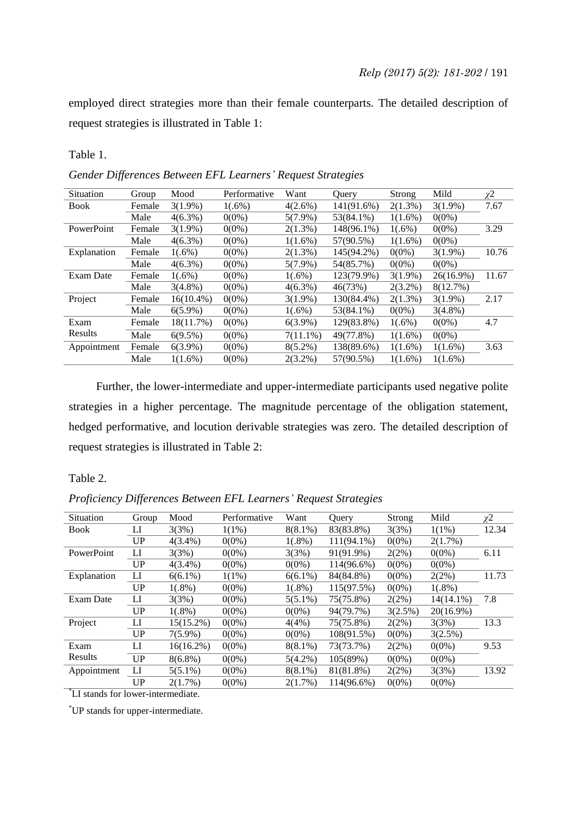employed direct strategies more than their female counterparts. The detailed description of request strategies is illustrated in Table 1:

Table 1.

*Gender Differences Between EFL Learners' Request Strategies*

| Situation   | Group  | Mood         | Performative | Want        | Ouery      | Strong     | Mild         | χ2    |
|-------------|--------|--------------|--------------|-------------|------------|------------|--------------|-------|
| <b>Book</b> | Female | $3(1.9\%)$   | $1(.6\%)$    | $4(2.6\%)$  | 141(91.6%) | $2(1.3\%)$ | $3(1.9\%)$   | 7.67  |
|             | Male   | $4(6.3\%)$   | $0(0\%)$     | $5(7.9\%)$  | 53(84.1%)  | $1(1.6\%)$ | $0(0\%)$     |       |
| PowerPoint  | Female | $3(1.9\%)$   | $0(0\%)$     | $2(1.3\%)$  | 148(96.1%) | $1(.6\%)$  | $0(0\%)$     | 3.29  |
|             | Male   | $4(6.3\%)$   | $0(0\%)$     | $1(1.6\%)$  | 57(90.5%)  | $1(1.6\%)$ | $0(0\%)$     |       |
| Explanation | Female | $1(.6\%)$    | $0(0\%)$     | $2(1.3\%)$  | 145(94.2%) | $0(0\%)$   | $3(1.9\%)$   | 10.76 |
|             | Male   | $4(6.3\%)$   | $0(0\%)$     | $5(7.9\%)$  | 54(85.7%)  | $0(0\%)$   | $0(0\%)$     |       |
| Exam Date   | Female | $1(.6\%)$    | $0(0\%)$     | $1(.6\%)$   | 123(79.9%) | $3(1.9\%)$ | $26(16.9\%)$ | 11.67 |
|             | Male   | $3(4.8\%)$   | $0(0\%)$     | $4(6.3\%)$  | 46(73%)    | $2(3.2\%)$ | 8(12.7%)     |       |
| Project     | Female | $16(10.4\%)$ | $0(0\%)$     | $3(1.9\%)$  | 130(84.4%) | $2(1.3\%)$ | $3(1.9\%)$   | 2.17  |
|             | Male   | $6(5.9\%)$   | $0(0\%)$     | $1(.6\%)$   | 53(84.1%)  | $0(0\%)$   | $3(4.8\%)$   |       |
| Exam        | Female | 18(11.7%)    | $0(0\%)$     | $6(3.9\%)$  | 129(83.8%) | $1(.6\%)$  | $0(0\%)$     | 4.7   |
| Results     | Male   | $6(9.5\%)$   | $0(0\%)$     | $7(11.1\%)$ | 49(77.8%)  | $1(1.6\%)$ | $0(0\%)$     |       |
| Appointment | Female | $6(3.9\%)$   | $0(0\%)$     | $8(5.2\%)$  | 138(89.6%) | $1(1.6\%)$ | $1(1.6\%)$   | 3.63  |
|             | Male   | $1(1.6\%)$   | $0(0\%)$     | $2(3.2\%)$  | 57(90.5%)  | $1(1.6\%)$ | $1(1.6\%)$   |       |

Further, the lower-intermediate and upper-intermediate participants used negative polite strategies in a higher percentage. The magnitude percentage of the obligation statement, hedged performative, and locution derivable strategies was zero. The detailed description of request strategies is illustrated in Table 2:

Table 2.

| Situation                         | Group       | Mood         | Performative | Want       | Ouery         | Strong   | Mild         | χ2    |  |  |
|-----------------------------------|-------------|--------------|--------------|------------|---------------|----------|--------------|-------|--|--|
| <b>Book</b>                       | П           | 3(3%)        | $1(1\%)$     | $8(8.1\%)$ | 83(83.8%)     | 3(3%)    | $1(1\%)$     | 12.34 |  |  |
|                                   | UP          | $4(3.4\%)$   | $0(0\%)$     | $1(.8\%)$  | $111(94.1\%)$ | $0(0\%)$ | 2(1.7%)      |       |  |  |
| PowerPoint                        | $_{\rm LI}$ | 3(3%)        | $0(0\%)$     | 3(3%)      | 91(91.9%)     | 2(2%)    | $0(0\%)$     | 6.11  |  |  |
|                                   | UP          | $4(3.4\%)$   | $0(0\%)$     | $0(0\%)$   | 114(96.6%)    | $0(0\%)$ | $0(0\%)$     |       |  |  |
| Explanation                       | LI          | $6(6.1\%)$   | $1(1\%)$     | $6(6.1\%)$ | 84(84.8%)     | $0(0\%)$ | 2(2%)        | 11.73 |  |  |
|                                   | UP          | $1(.8\%)$    | $0(0\%)$     | $1(.8\%)$  | 115(97.5%)    | $0(0\%)$ | $1(.8\%)$    |       |  |  |
| Exam Date                         | $_{\rm LI}$ | 3(3%)        | $0(0\%)$     | $5(5.1\%)$ | 75(75.8%)     | 2(2%)    | $14(14.1\%)$ | 7.8   |  |  |
|                                   | UP          | $1(.8\%)$    | $0(0\%)$     | $0(0\%)$   | 94(79.7%)     | 3(2.5%)  | $20(16.9\%)$ |       |  |  |
| Project                           | LI          | $15(15.2\%)$ | $0(0\%)$     | 4(4%)      | 75(75.8%)     | 2(2%)    | 3(3%)        | 13.3  |  |  |
|                                   | <b>UP</b>   | $7(5.9\%)$   | $0(0\%)$     | $0(0\%)$   | 108(91.5%)    | $0(0\%)$ | 3(2.5%)      |       |  |  |
| Exam                              | LI          | $16(16.2\%)$ | $0(0\%)$     | $8(8.1\%)$ | 73(73.7%)     | 2(2%)    | $0(0\%)$     | 9.53  |  |  |
| Results                           | UP          | $8(6.8\%)$   | $0(0\%)$     | $5(4.2\%)$ | 105(89%)      | $0(0\%)$ | $0(0\%)$     |       |  |  |
| Appointment                       | LI          | $5(5.1\%)$   | $0(0\%)$     | $8(8.1\%)$ | 81(81.8%)     | 2(2%)    | 3(3%)        | 13.92 |  |  |
|                                   | UP          | 2(1.7%)      | $0(0\%)$     | 2(1.7%)    | 114(96.6%)    | $0(0\%)$ | $0(0\%)$     |       |  |  |
| LI stands for lower-intermediate. |             |              |              |            |               |          |              |       |  |  |

*Proficiency Differences Between EFL Learners' Request Strategies*

\*UP stands for upper-intermediate.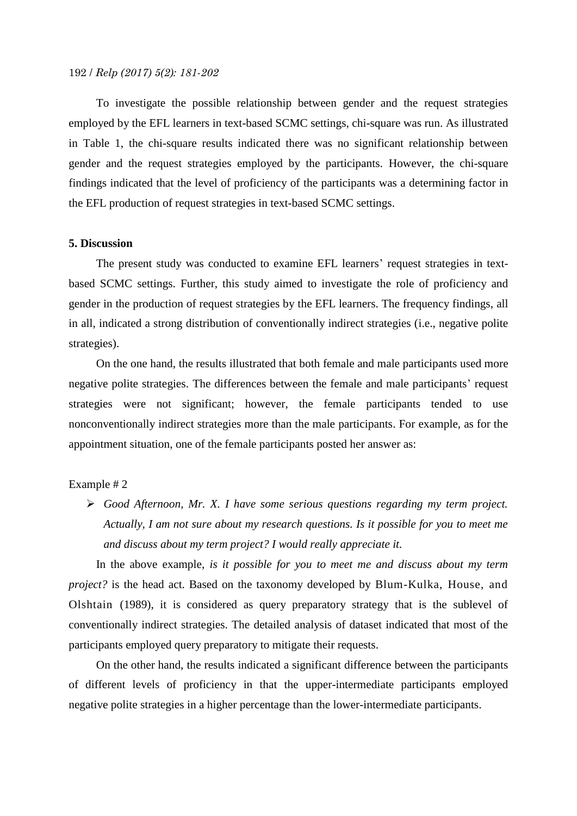To investigate the possible relationship between gender and the request strategies employed by the EFL learners in text-based SCMC settings, chi-square was run. As illustrated in Table 1, the chi-square results indicated there was no significant relationship between gender and the request strategies employed by the participants. However, the chi-square findings indicated that the level of proficiency of the participants was a determining factor in the EFL production of request strategies in text-based SCMC settings.

# **5. Discussion**

The present study was conducted to examine EFL learners' request strategies in textbased SCMC settings. Further, this study aimed to investigate the role of proficiency and gender in the production of request strategies by the EFL learners. The frequency findings, all in all, indicated a strong distribution of conventionally indirect strategies (i.e., negative polite strategies).

On the one hand, the results illustrated that both female and male participants used more negative polite strategies. The differences between the female and male participants' request strategies were not significant; however, the female participants tended to use nonconventionally indirect strategies more than the male participants. For example, as for the appointment situation, one of the female participants posted her answer as:

#### Example # 2

 *Good Afternoon, Mr. X. I have some serious questions regarding my term project. Actually, I am not sure about my research questions. Is it possible for you to meet me and discuss about my term project? I would really appreciate it.*

In the above example, *is it possible for you to meet me and discuss about my term project?* is the head act. Based on the taxonomy developed by Blum-Kulka, House, and Olshtain (1989), it is considered as query preparatory strategy that is the sublevel of conventionally indirect strategies. The detailed analysis of dataset indicated that most of the participants employed query preparatory to mitigate their requests.

On the other hand, the results indicated a significant difference between the participants of different levels of proficiency in that the upper-intermediate participants employed negative polite strategies in a higher percentage than the lower-intermediate participants.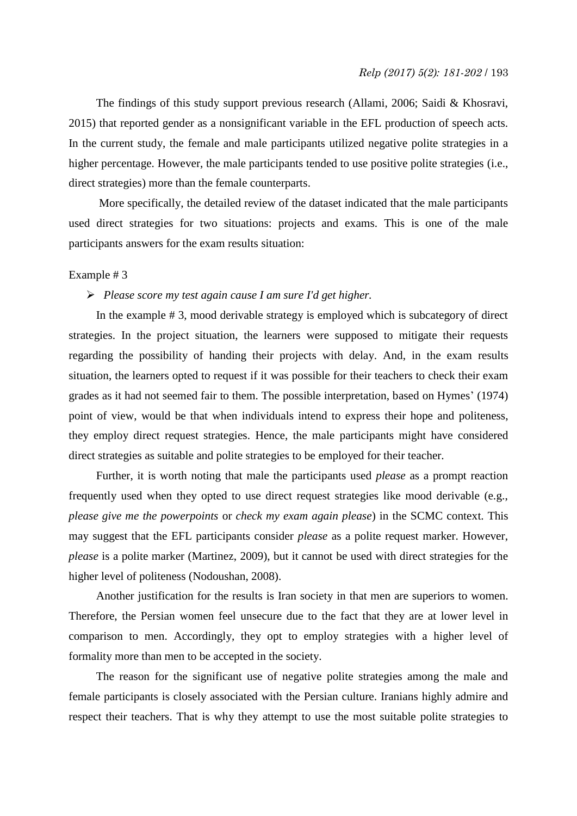The findings of this study support previous research (Allami, 2006; Saidi & Khosravi, 2015) that reported gender as a nonsignificant variable in the EFL production of speech acts. In the current study, the female and male participants utilized negative polite strategies in a higher percentage. However, the male participants tended to use positive polite strategies (i.e., direct strategies) more than the female counterparts.

More specifically, the detailed review of the dataset indicated that the male participants used direct strategies for two situations: projects and exams. This is one of the male participants answers for the exam results situation:

#### Example # 3

#### *Please score my test again cause I am sure I'd get higher.*

In the example # 3, mood derivable strategy is employed which is subcategory of direct strategies. In the project situation, the learners were supposed to mitigate their requests regarding the possibility of handing their projects with delay. And, in the exam results situation, the learners opted to request if it was possible for their teachers to check their exam grades as it had not seemed fair to them. The possible interpretation, based on Hymes' (1974) point of view, would be that when individuals intend to express their hope and politeness, they employ direct request strategies. Hence, the male participants might have considered direct strategies as suitable and polite strategies to be employed for their teacher.

Further, it is worth noting that male the participants used *please* as a prompt reaction frequently used when they opted to use direct request strategies like mood derivable (e.g., *please give me the powerpoints* or *check my exam again please*) in the SCMC context. This may suggest that the EFL participants consider *please* as a polite request marker. However, *please* is a polite marker (Martinez, 2009), but it cannot be used with direct strategies for the higher level of politeness (Nodoushan, 2008).

Another justification for the results is Iran society in that men are superiors to women. Therefore, the Persian women feel unsecure due to the fact that they are at lower level in comparison to men. Accordingly, they opt to employ strategies with a higher level of formality more than men to be accepted in the society.

The reason for the significant use of negative polite strategies among the male and female participants is closely associated with the Persian culture. Iranians highly admire and respect their teachers. That is why they attempt to use the most suitable polite strategies to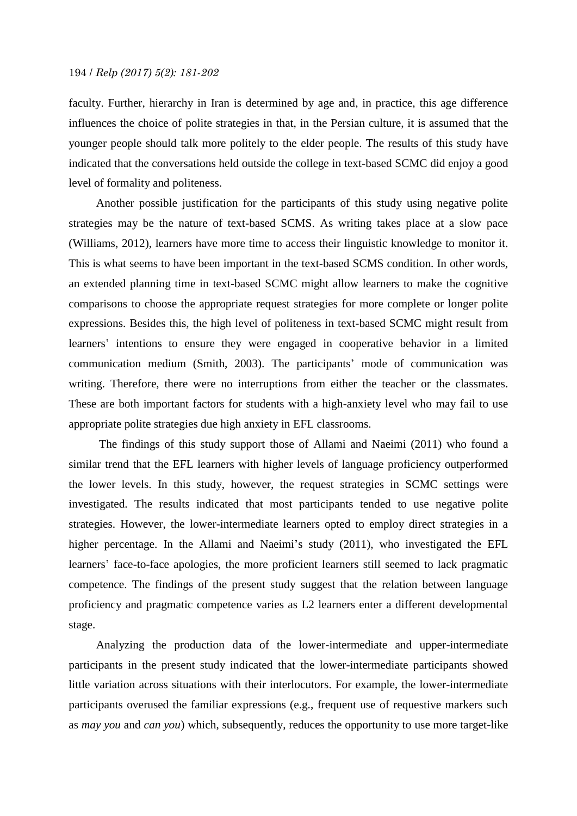faculty. Further, hierarchy in Iran is determined by age and, in practice, this age difference influences the choice of polite strategies in that, in the Persian culture, it is assumed that the younger people should talk more politely to the elder people. The results of this study have indicated that the conversations held outside the college in text-based SCMC did enjoy a good level of formality and politeness.

Another possible justification for the participants of this study using negative polite strategies may be the nature of text-based SCMS. As writing takes place at a slow pace (Williams, 2012), learners have more time to access their linguistic knowledge to monitor it. This is what seems to have been important in the text-based SCMS condition. In other words, an extended planning time in text-based SCMC might allow learners to make the cognitive comparisons to choose the appropriate request strategies for more complete or longer polite expressions. Besides this, the high level of politeness in text-based SCMC might result from learners' intentions to ensure they were engaged in cooperative behavior in a limited communication medium (Smith, 2003). The participants' mode of communication was writing. Therefore, there were no interruptions from either the teacher or the classmates. These are both important factors for students with a high-anxiety level who may fail to use appropriate polite strategies due high anxiety in EFL classrooms.

The findings of this study support those of Allami and Naeimi (2011) who found a similar trend that the EFL learners with higher levels of language proficiency outperformed the lower levels. In this study, however, the request strategies in SCMC settings were investigated. The results indicated that most participants tended to use negative polite strategies. However, the lower-intermediate learners opted to employ direct strategies in a higher percentage. In the Allami and Naeimi's study (2011), who investigated the EFL learners' face-to-face apologies, the more proficient learners still seemed to lack pragmatic competence. The findings of the present study suggest that the relation between language proficiency and pragmatic competence varies as L2 learners enter a different developmental stage.

Analyzing the production data of the lower-intermediate and upper-intermediate participants in the present study indicated that the lower-intermediate participants showed little variation across situations with their interlocutors. For example, the lower-intermediate participants overused the familiar expressions (e.g., frequent use of requestive markers such as *may you* and *can you*) which, subsequently, reduces the opportunity to use more target-like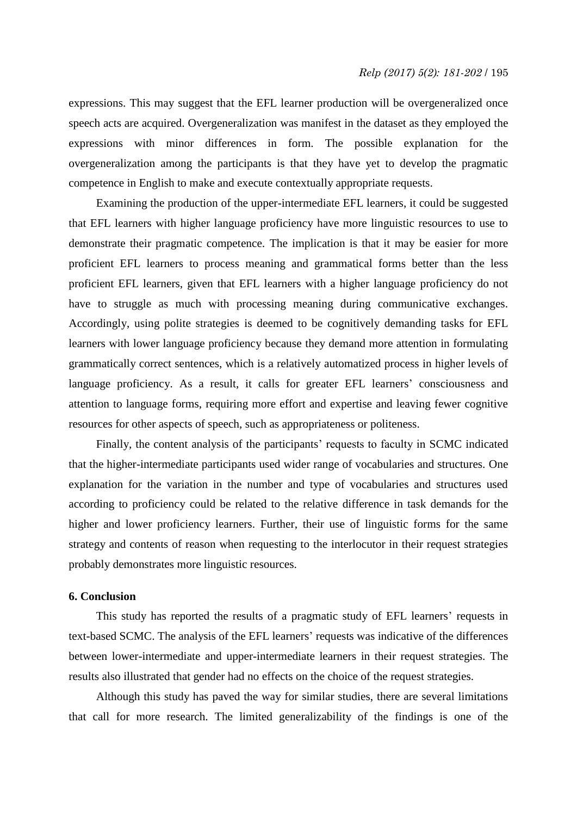expressions. This may suggest that the EFL learner production will be overgeneralized once speech acts are acquired. Overgeneralization was manifest in the dataset as they employed the expressions with minor differences in form*.* The possible explanation for the overgeneralization among the participants is that they have yet to develop the pragmatic competence in English to make and execute contextually appropriate requests.

Examining the production of the upper-intermediate EFL learners, it could be suggested that EFL learners with higher language proficiency have more linguistic resources to use to demonstrate their pragmatic competence. The implication is that it may be easier for more proficient EFL learners to process meaning and grammatical forms better than the less proficient EFL learners, given that EFL learners with a higher language proficiency do not have to struggle as much with processing meaning during communicative exchanges. Accordingly, using polite strategies is deemed to be cognitively demanding tasks for EFL learners with lower language proficiency because they demand more attention in formulating grammatically correct sentences, which is a relatively automatized process in higher levels of language proficiency. As a result, it calls for greater EFL learners' consciousness and attention to language forms, requiring more effort and expertise and leaving fewer cognitive resources for other aspects of speech, such as appropriateness or politeness.

Finally, the content analysis of the participants' requests to faculty in SCMC indicated that the higher-intermediate participants used wider range of vocabularies and structures. One explanation for the variation in the number and type of vocabularies and structures used according to proficiency could be related to the relative difference in task demands for the higher and lower proficiency learners. Further, their use of linguistic forms for the same strategy and contents of reason when requesting to the interlocutor in their request strategies probably demonstrates more linguistic resources.

## **6. Conclusion**

This study has reported the results of a pragmatic study of EFL learners' requests in text-based SCMC. The analysis of the EFL learners' requests was indicative of the differences between lower-intermediate and upper-intermediate learners in their request strategies. The results also illustrated that gender had no effects on the choice of the request strategies.

Although this study has paved the way for similar studies, there are several limitations that call for more research. The limited generalizability of the findings is one of the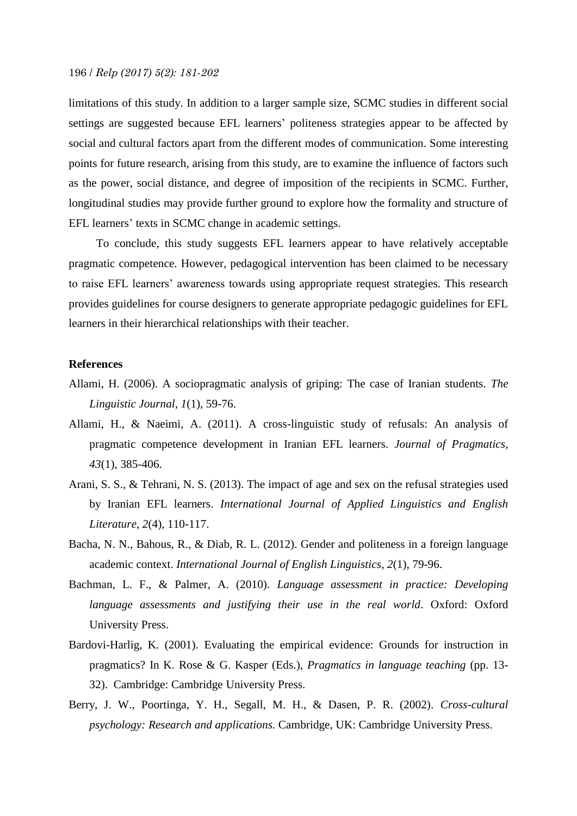limitations of this study. In addition to a larger sample size, SCMC studies in different social settings are suggested because EFL learners' politeness strategies appear to be affected by social and cultural factors apart from the different modes of communication. Some interesting points for future research, arising from this study, are to examine the influence of factors such as the power, social distance, and degree of imposition of the recipients in SCMC. Further, longitudinal studies may provide further ground to explore how the formality and structure of EFL learners' texts in SCMC change in academic settings.

To conclude, this study suggests EFL learners appear to have relatively acceptable pragmatic competence. However, pedagogical intervention has been claimed to be necessary to raise EFL learners' awareness towards using appropriate request strategies. This research provides guidelines for course designers to generate appropriate pedagogic guidelines for EFL learners in their hierarchical relationships with their teacher.

#### **References**

- Allami, H. (2006). A sociopragmatic analysis of griping: The case of Iranian students. *The Linguistic Journal, 1*(1), 59-76.
- Allami, H., & Naeimi, A. (2011). A cross-linguistic study of refusals: An analysis of pragmatic competence development in Iranian EFL learners. *Journal of Pragmatics*, *43*(1), 385-406.
- Arani, S. S., & Tehrani, N. S. (2013). The impact of age and sex on the refusal strategies used by Iranian EFL learners. *International Journal of Applied Linguistics and English Literature*, *2*(4), 110-117.
- Bacha, N. N., Bahous, R., & Diab, R. L. (2012). Gender and politeness in a foreign language academic context. *International Journal of English Linguistics*, *2*(1), 79-96.
- Bachman, L. F., & Palmer, A. (2010). *Language assessment in practice: Developing language assessments and justifying their use in the real world*. Oxford: Oxford University Press.
- Bardovi-Harlig, K. (2001). Evaluating the empirical evidence: Grounds for instruction in pragmatics? In K. Rose & G. Kasper (Eds.), *Pragmatics in language teaching* (pp. 13- 32). Cambridge: Cambridge University Press.
- Berry, J. W., Poortinga, Y. H., Segall, M. H., & Dasen, P. R. (2002). *Cross-cultural psychology: Research and applications.* Cambridge, UK: Cambridge University Press.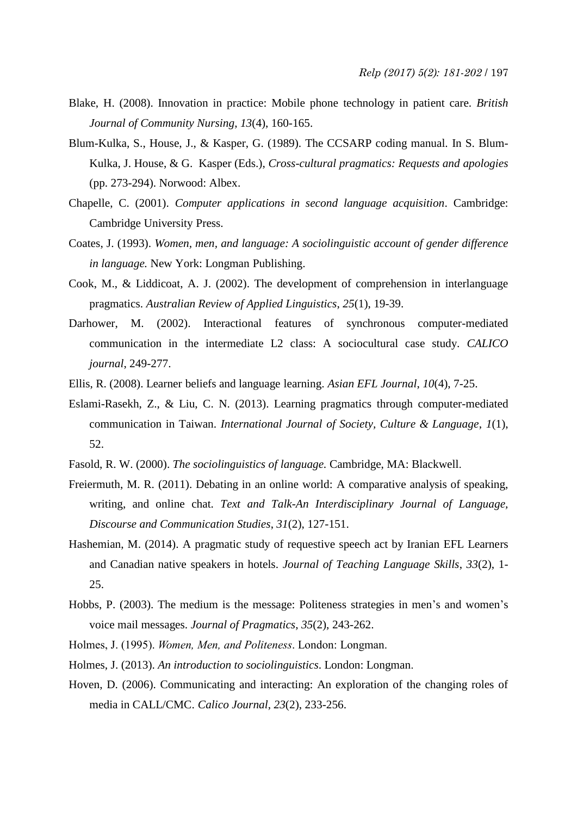- Blake, H. (2008). Innovation in practice: Mobile phone technology in patient care. *British Journal of Community Nursing*, *13*(4), 160-165.
- Blum-Kulka, S., House, J., & Kasper, G. (1989). The CCSARP coding manual. In S. Blum-Kulka, J. House, & G. Kasper (Eds.), *Cross-cultural pragmatics: Requests and apologies* (pp. 273-294). Norwood: Albex.
- Chapelle, C. (2001). *Computer applications in second language acquisition*. Cambridge: Cambridge University Press.
- Coates, J. (1993). *Women, men, and language: A sociolinguistic account of gender difference in language.* New York: Longman Publishing.
- Cook, M., & Liddicoat, A. J. (2002). The development of comprehension in interlanguage pragmatics. *Australian Review of Applied Linguistics*, *25*(1), 19-39.
- Darhower, M. (2002). Interactional features of synchronous computer-mediated communication in the intermediate L2 class: A sociocultural case study. *CALICO journal*, 249-277.
- Ellis, R. (2008). Learner beliefs and language learning. *Asian EFL Journal*, *10*(4), 7-25.
- Eslami-Rasekh, Z., & Liu, C. N. (2013). Learning pragmatics through computer-mediated communication in Taiwan. *International Journal of Society, Culture & Language*, *1*(1), 52.
- Fasold, R. W. (2000). *The sociolinguistics of language.* Cambridge, MA: Blackwell.
- Freiermuth, M. R. (2011). Debating in an online world: A comparative analysis of speaking, writing, and online chat. *Text and Talk-An Interdisciplinary Journal of Language, Discourse and Communication Studies*, *31*(2), 127-151.
- Hashemian, M. (2014). A pragmatic study of requestive speech act by Iranian EFL Learners and Canadian native speakers in hotels. *Journal of Teaching Language Skills*, *33*(2), 1- 25.
- Hobbs, P. (2003). The medium is the message: Politeness strategies in men's and women's voice mail messages. *Journal of Pragmatics*, *35*(2), 243-262.
- Holmes, J. (1995). *Women, Men, and Politeness*. London: Longman.
- Holmes, J. (2013). *An introduction to sociolinguistics*. London: Longman.
- Hoven, D. (2006). Communicating and interacting: An exploration of the changing roles of media in CALL/CMC. *Calico Journal*, *23*(2), 233-256.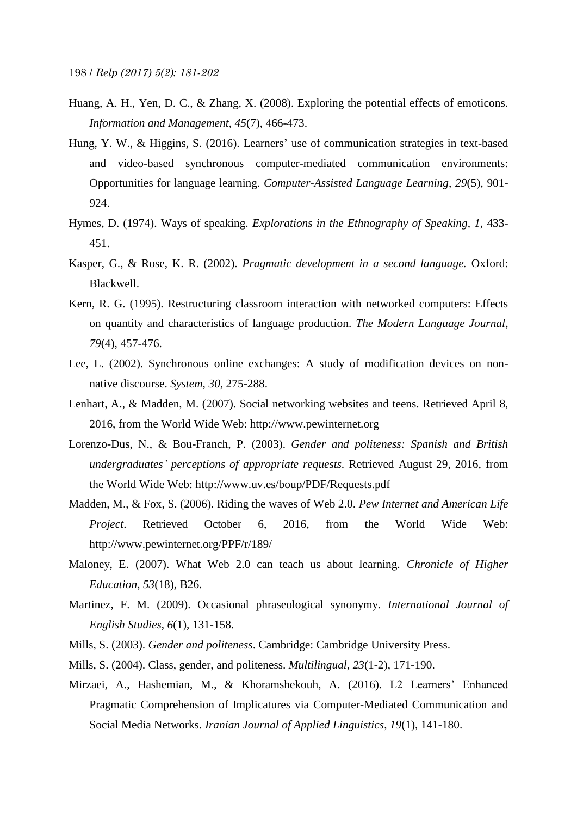- Huang, A. H., Yen, D. C., & Zhang, X. (2008). Exploring the potential effects of emoticons. *Information and Management*, *45*(7), 466-473.
- Hung, Y. W., & Higgins, S. (2016). Learners' use of communication strategies in text-based and video-based synchronous computer-mediated communication environments: Opportunities for language learning. *Computer-Assisted Language Learning*, *29*(5), 901- 924.
- Hymes, D. (1974). Ways of speaking. *Explorations in the Ethnography of Speaking*, *1*, 433- 451.
- Kasper, G., & Rose, K. R. (2002). *Pragmatic development in a second language.* Oxford: Blackwell.
- Kern, R. G. (1995). Restructuring classroom interaction with networked computers: Effects on quantity and characteristics of language production. *The Modern Language Journal*, *79*(4), 457-476.
- Lee, L. (2002). Synchronous online exchanges: A study of modification devices on nonnative discourse. *System, 30*, 275-288.
- Lenhart, A., & Madden, M. (2007). Social networking websites and teens. Retrieved April 8, 2016, from the World Wide Web: http://www.pewinternet.org
- Lorenzo-Dus, N., & Bou-Franch, P. (2003). *Gender and politeness: Spanish and British undergraduates' perceptions of appropriate requests.* Retrieved August 29, 2016, from the World Wide Web: http://www.uv.es/boup/PDF/Requests.pdf
- Madden, M., & Fox, S. (2006). Riding the waves of Web 2.0. *Pew Internet and American Life Project*. Retrieved October 6, 2016, from the World Wide Web: http://www.pewinternet.org/PPF/r/189/
- Maloney, E. (2007). What Web 2.0 can teach us about learning. *Chronicle of Higher Education*, *53*(18), B26.
- Martinez, F. M. (2009). Occasional phraseological synonymy. *International Journal of English Studies*, *6*(1), 131-158.
- Mills, S. (2003). *Gender and politeness*. Cambridge: Cambridge University Press.
- Mills, S. (2004). Class, gender, and politeness. *Multilingual*, *23*(1-2), 171-190.
- Mirzaei, A., Hashemian, M., & Khoramshekouh, A. (2016). L2 Learners' Enhanced Pragmatic Comprehension of Implicatures via Computer-Mediated Communication and Social Media Networks. *Iranian Journal of Applied Linguistics*, *19*(1), 141-180.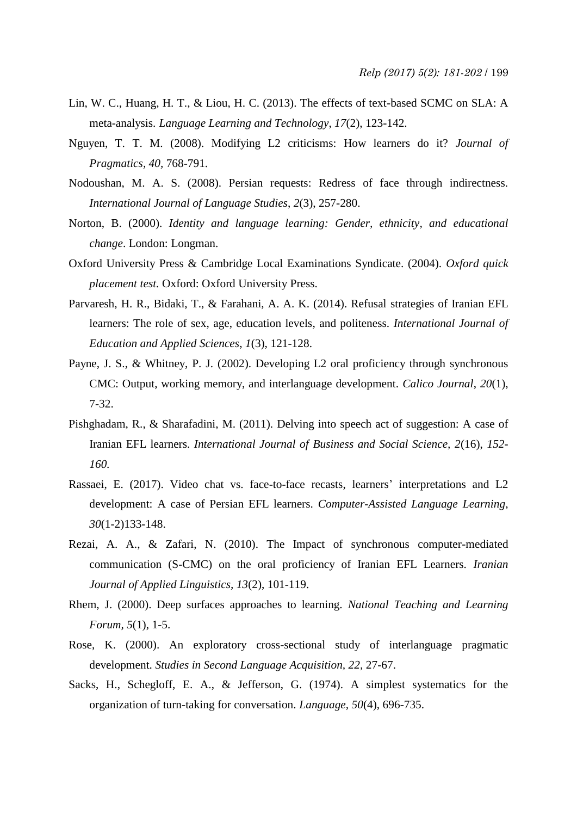- Lin, W. C., Huang, H. T., & Liou, H. C. (2013). The effects of text-based SCMC on SLA: A meta-analysis. *Language Learning and Technology*, *17*(2), 123-142.
- Nguyen, T. T. M. (2008). Modifying L2 criticisms: How learners do it? *Journal of Pragmatics, 40,* 768-791.
- Nodoushan, M. A. S. (2008). Persian requests: Redress of face through indirectness. *International Journal of Language Studies*, *2*(3), 257-280.
- Norton, B. (2000). *Identity and language learning: Gender, ethnicity, and educational change*. London: Longman.
- [Oxford University Press](https://www.google.com/search?tbo=p&tbm=bks&q=inauthor:%22Oxford+University+Press%22&source=gbs_metadata_r&cad=2) & Cambridge Local Examinations Syndicate. (2004). *Oxford quick placement test.* Oxford: Oxford University Press.
- Parvaresh, H. R., Bidaki, T., & Farahani, A. A. K. (2014). Refusal strategies of Iranian EFL learners: The role of sex, age, education levels, and politeness. *International Journal of Education and Applied Sciences*, *1*(3), 121-128.
- Payne, J. S., & Whitney, P. J. (2002). Developing L2 oral proficiency through synchronous CMC: Output, working memory, and interlanguage development. *Calico Journal*, *20*(1), 7-32.
- Pishghadam, R., & Sharafadini, M. (2011). Delving into speech act of suggestion: A case of Iranian EFL learners. *International Journal of Business and Social Science, 2*(16), *152- 160.*
- Rassaei, E. (2017). Video chat vs. face-to-face recasts, learners' interpretations and L2 development: A case of Persian EFL learners. *Computer-Assisted Language Learning*, *30*(1-2)133-148.
- Rezai, A. A., & Zafari, N. (2010). The Impact of synchronous computer-mediated communication (S-CMC) on the oral proficiency of Iranian EFL Learners. *Iranian Journal of Applied Linguistics, 13*(2), 101-119.
- Rhem, J. (2000). Deep surfaces approaches to learning. *National Teaching and Learning Forum, 5*(1), 1-5.
- Rose, K. (2000). An exploratory cross-sectional study of interlanguage pragmatic development. *Studies in Second Language Acquisition, 22,* 27-67.
- Sacks, H., Schegloff, E. A., & Jefferson, G. (1974). A simplest systematics for the organization of turn-taking for conversation. *Language, 50*(4), 696-735.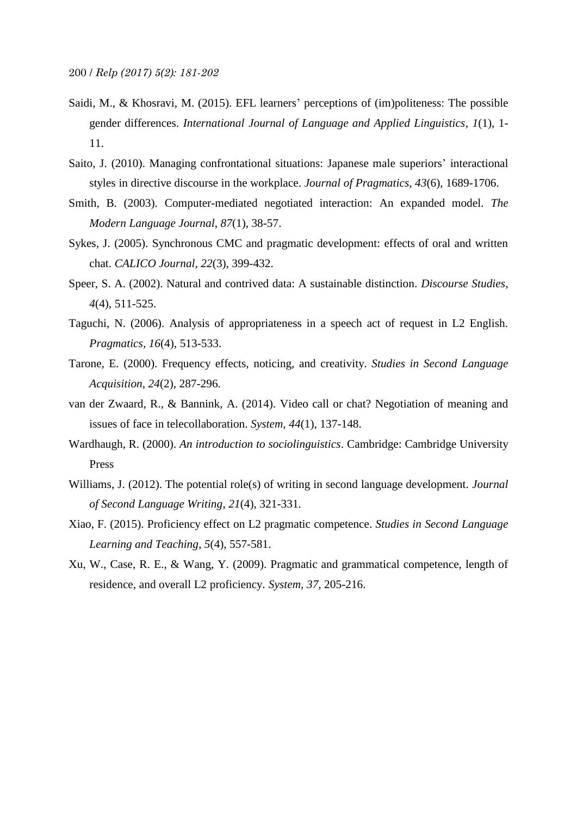- Saidi, M., & Khosravi, M. (2015). EFL learners' perceptions of (im)politeness: The possible gender differences. *International Journal of Language and Applied Linguistics*, *1*(1), 1- 11.
- Saito, J. (2010). Managing confrontational situations: Japanese male superiors' interactional styles in directive discourse in the workplace. *Journal of Pragmatics*, *43*(6), 1689-1706.
- Smith, B. (2003). Computer-mediated negotiated interaction: An expanded model. *The Modern Language Journal*, *87*(1), 38-57.
- Sykes, J. (2005). Synchronous CMC and pragmatic development: effects of oral and written chat. *CALICO Journal, 22*(3), 399-432.
- Speer, S. A. (2002). Natural and contrived data: A sustainable distinction. *Discourse Studies*, *4*(4), 511-525.
- Taguchi, N. (2006). Analysis of appropriateness in a speech act of request in L2 English. *Pragmatics, 16*(4), 513-533.
- Tarone, E. (2000). Frequency effects, noticing, and creativity. *Studies in Second Language Acquisition*, *24*(2), 287-296.
- van der Zwaard, R., & Bannink, A. (2014). Video call or chat? Negotiation of meaning and issues of face in telecollaboration. *System, 44*(1), 137-148.
- Wardhaugh, R. (2000). *An introduction to sociolinguistics*. Cambridge: Cambridge University Press
- Williams, J. (2012). The potential role(s) of writing in second language development. *Journal of Second Language Writing*, *21*(4), 321-331.
- Xiao, F. (2015). Proficiency effect on L2 pragmatic competence. *Studies in Second Language Learning and Teaching*, *5*(4), 557-581.
- Xu, W., Case, R. E., & Wang, Y. (2009). Pragmatic and grammatical competence, length of residence, and overall L2 proficiency. *System, 37,* 205-216.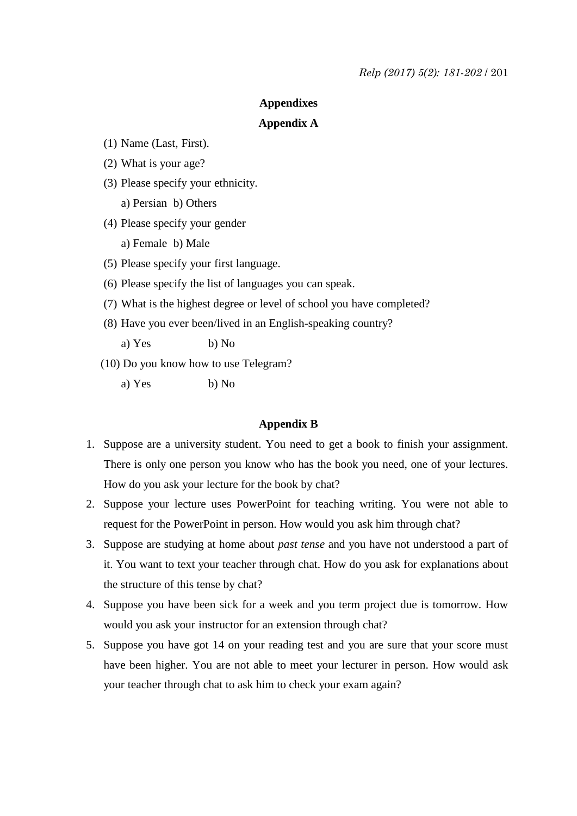## **Appendixes**

## **Appendix A**

- (1) Name (Last, First).
- (2) What is your age?
- (3) Please specify your ethnicity.
	- a) Persian b) Others
- (4) Please specify your gender
	- a) Female b) Male
- (5) Please specify your first language.
- (6) Please specify the list of languages you can speak.
- (7) What is the highest degree or level of school you have completed?
- (8) Have you ever been/lived in an English-speaking country?

a) Yes b) No

- (10) Do you know how to use Telegram?
	- a) Yes b) No

# **Appendix B**

- 1. Suppose are a university student. You need to get a book to finish your assignment. There is only one person you know who has the book you need, one of your lectures. How do you ask your lecture for the book by chat?
- 2. Suppose your lecture uses PowerPoint for teaching writing. You were not able to request for the PowerPoint in person. How would you ask him through chat?
- 3. Suppose are studying at home about *past tense* and you have not understood a part of it. You want to text your teacher through chat. How do you ask for explanations about the structure of this tense by chat?
- 4. Suppose you have been sick for a week and you term project due is tomorrow. How would you ask your instructor for an extension through chat?
- 5. Suppose you have got 14 on your reading test and you are sure that your score must have been higher. You are not able to meet your lecturer in person. How would ask your teacher through chat to ask him to check your exam again?